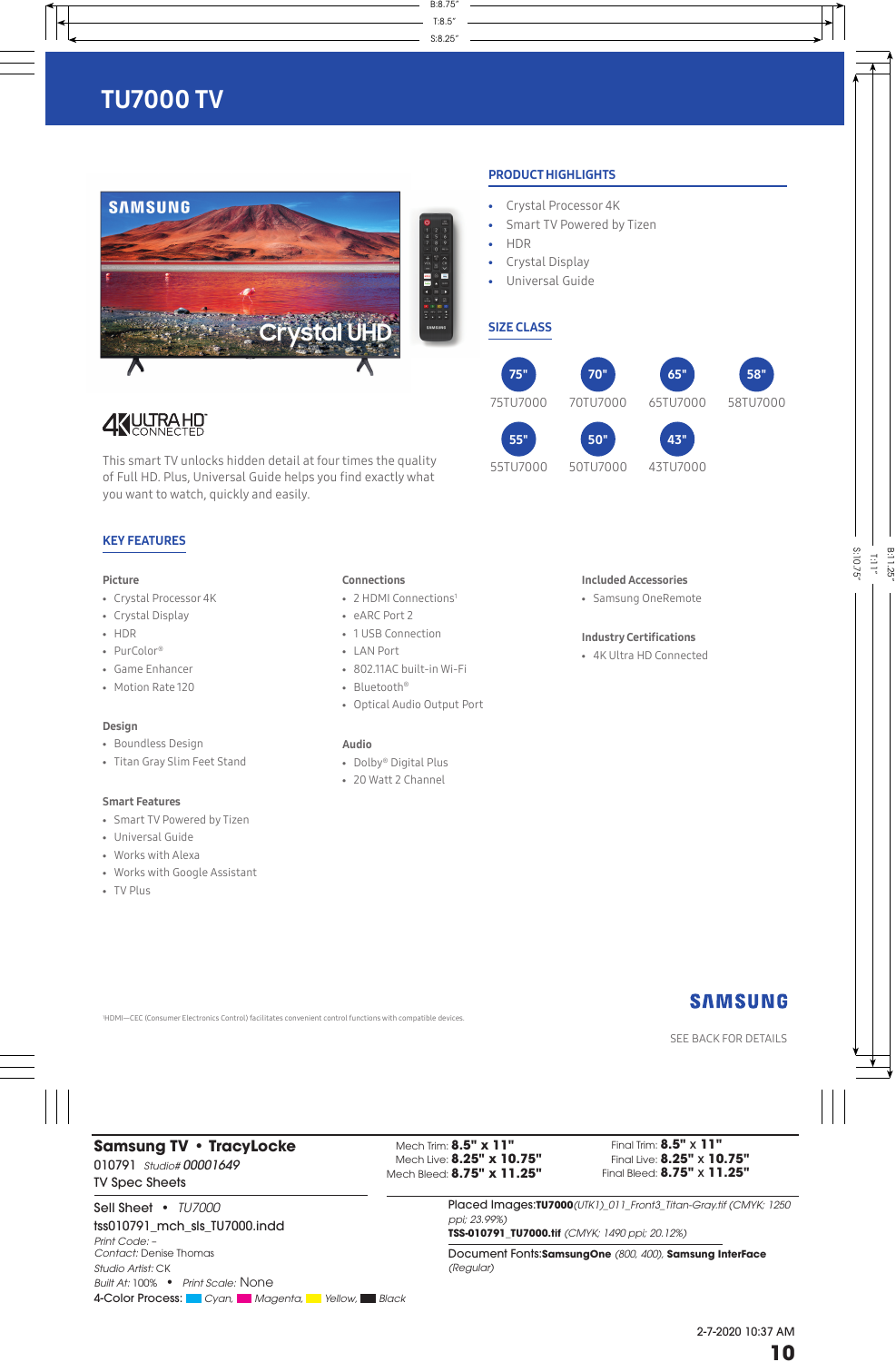

### PRODUCT HIGHLIGHTS

- Crystal Processor 4K
- Smart TV Powered by Tizen
- HDR
- Crystal Display
- Universal Guide

## SIZE CLASS



55TU7000



# **4 YUUTRA HD**

This smart TV unlocks hidden detail at four times the quality of Full HD. Plus, Universal Guide helps you find exactly what you want to watch, quickly and easily.

### KEY FEATURES

### Picture

- Crystal Processor 4K
- Crystal Display
- HDR
- PurColor®
- Game Enhancer
- Motion Rate 120

### Design

- Boundless Design
- Titan Gray Slim Feet Stand

### Smart Features

- Smart TV Powered by Tizen
- Universal Guide
- Works with Alexa
- Works with Google Assistant
- TV Plus

### Connections

- 2 HDMI Connections<sup>1</sup>
- eARC Port 2
- 1 USB Connection
- LAN Port
- 802.11AC built-in Wi-Fi
- Bluetooth®
- Optical Audio Output Port

### Audio

- Dolby® Digital Plus
- 20 Watt 2 Channel

### Included Accessories

• Samsung OneRemote

### Industry Certifications

• 4K Ultra HD Connected

1 HDMI—CEC (Consumer Electronics Control) facilitates convenient control functions with compatible devices.

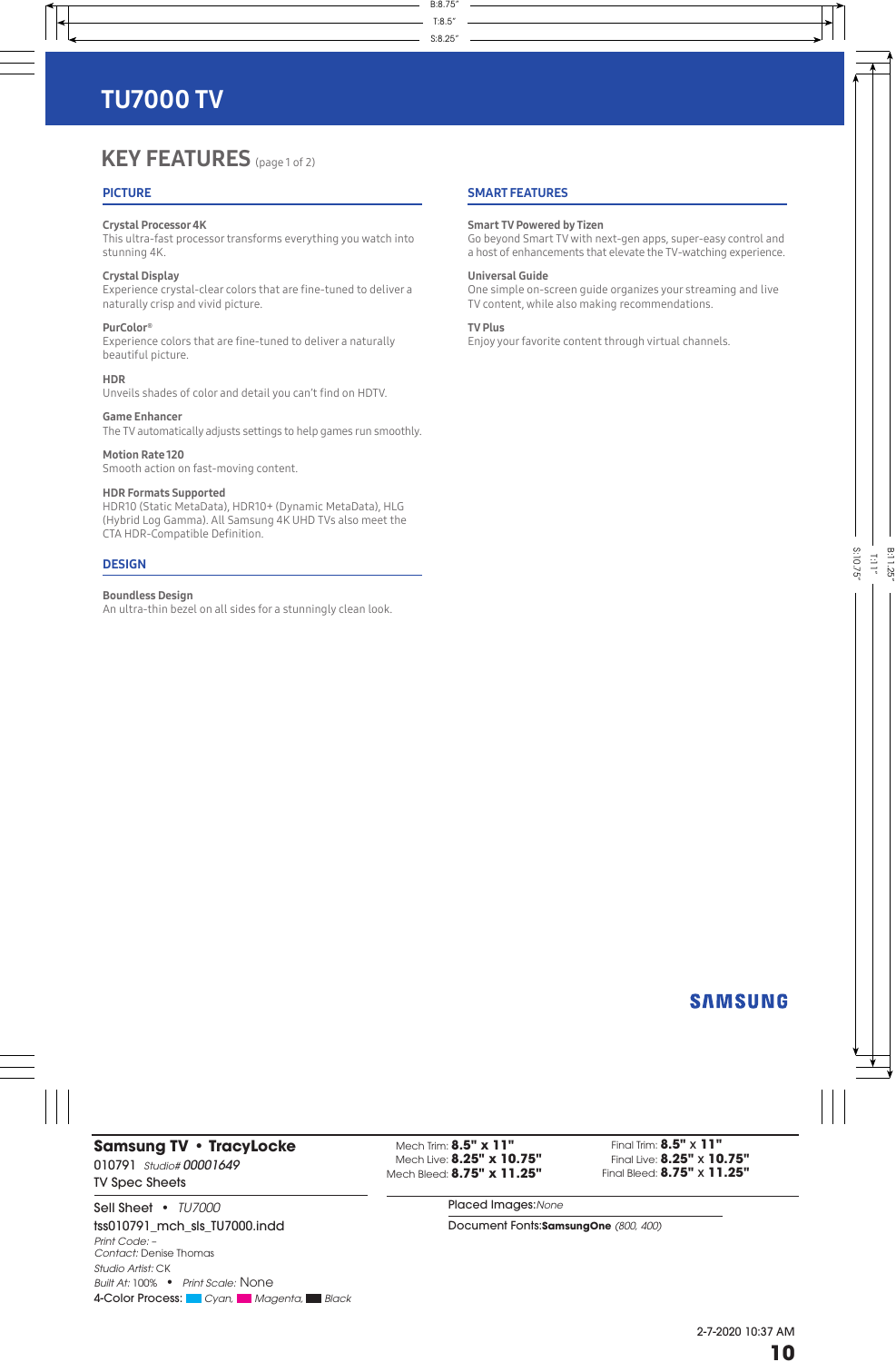# **KEY FEATURES** (page 1 of 2)

### **PICTURE**

### Crystal Processor 4K

This ultra-fast processor transforms everything you watch into stunning 4K.

### Crystal Display

Experience crystal-clear colors that are fine-tuned to deliver a naturally crisp and vivid picture.

### PurColor®

Experience colors that are fine-tuned to deliver a naturally beautiful picture.

### **HDR**

Unveils shades of color and detail you can't find on HDTV.

Game Enhancer The TV automatically adjusts settings to help games run smoothly.

Motion Rate 120 Smooth action on fast-moving content.

### HDR Formats Supported

HDR10 (Static MetaData), HDR10+ (Dynamic MetaData), HLG (Hybrid Log Gamma). All Samsung 4K UHD TVs also meet the CTA HDR-Compatible Definition.

### **DESIGN**

### Boundless Design

An ultra-thin bezel on all sides for a stunningly clean look.

### SMART FEATURES

### Smart TV Powered by Tizen

Go beyond Smart TV with next-gen apps, super-easy control and a host of enhancements that elevate the TV-watching experience.

### Universal Guide

One simple on-screen guide organizes your streaming and live TV content, while also making recommendations.

### TV Plus

Enjoy your favorite content through virtual channels.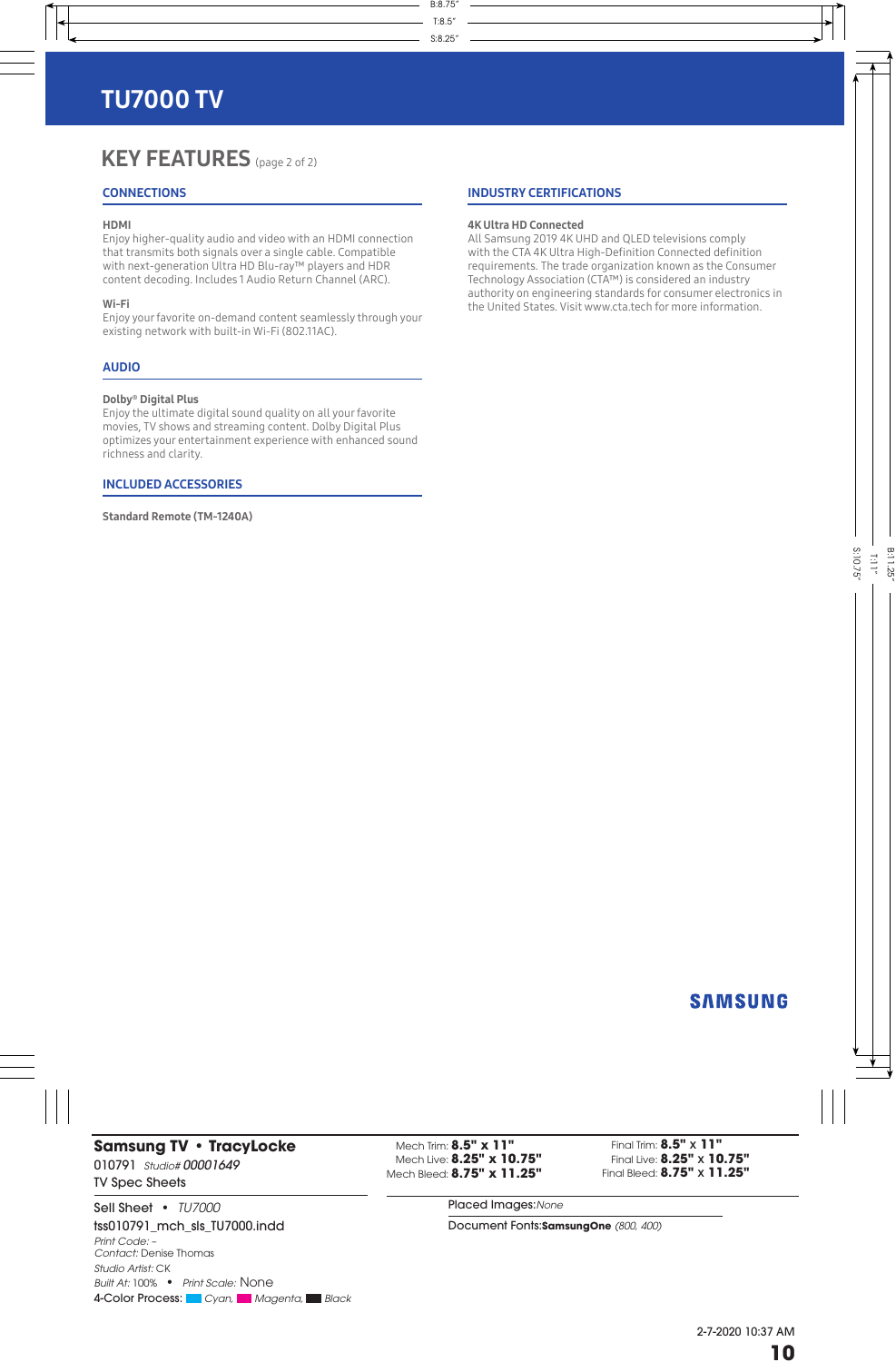# KEY FEATURES (page 2 of 2)

### **CONNECTIONS**

### HDMI

Enjoy higher-quality audio and video with an HDMI connection that transmits both signals over a single cable. Compatible with next-generation Ultra HD Blu-ray™ players and HDR content decoding. Includes 1 Audio Return Channel (ARC).

### Wi-Fi

Enjoy your favorite on-demand content seamlessly through your existing network with built-in Wi-Fi (802.11AC).

### AUDIO

### Dolby® Digital Plus

Enjoy the ultimate digital sound quality on all your favorite movies, TV shows and streaming content. Dolby Digital Plus optimizes your entertainment experience with enhanced sound richness and clarity.

### INCLUDED ACCESSORIES

Standard Remote (TM-1240A)

### INDUSTRY CERTIFICATIONS

### 4K Ultra HD Connected

All Samsung 2019 4K UHD and QLED televisions comply with the CTA 4K Ultra High-Definition Connected definition requirements. The trade organization known as the Consumer Technology Association (CTA™) is considered an industry authority on engineering standards for consumer electronics in the United States. Visit www.cta.tech for more information.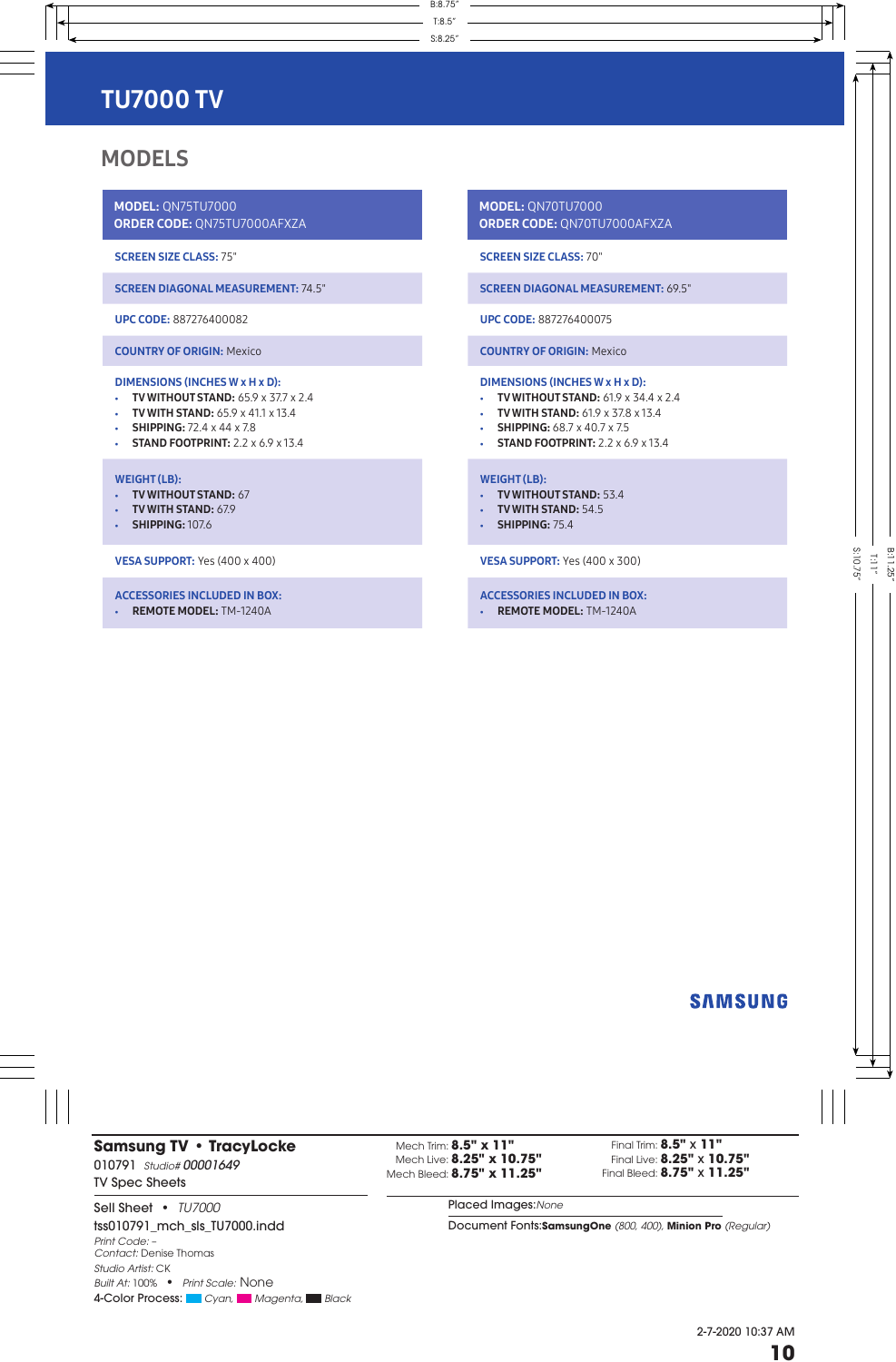# MODELS

MODEL: QN75TU7000 ORDER CODE: QN75TU7000AFXZA

SCREEN SIZE CLASS: 75"

SCREEN DIAGONAL MEASUREMENT: 74.5"

UPC CODE: 887276400082

COUNTRY OF ORIGIN: Mexico

## DIMENSIONS (INCHES W x H x D):

- TV WITHOUT STAND: 65.9 x 37.7 x 2.4
- **TV WITH STAND: 65.9 x 41.1 x 13.4**
- SHIPPING:  $72.4 \times 44 \times 7.8$
- STAND FOOTPRINT:  $2.2 \times 6.9 \times 13.4$

### WEIGHT (LB):

- TV WITHOUT STAND: 67
- TV WITH STAND: 67.9
- **SHIPPING:** 107.6

VESA SUPPORT: Yes (400 x 400)

#### ACCESSORIES INCLUDED IN BOX:

• REMOTE MODEL: TM-1240A

MODEL: QN70TU7000 ORDER CODE: QN70TU7000AFXZA

SCREEN SIZE CLASS: 70"

SCREEN DIAGONAL MEASUREMENT: 69.5"

UPC CODE: 887276400075

COUNTRY OF ORIGIN: Mexico

### DIMENSIONS (INCHES W x H x D):

- TV WITHOUT STAND:  $61.9 \times 34.4 \times 2.4$
- TV WITH STAND: 61.9 x 37.8 x 13.4
- SHIPPING: 68.7 x 40.7 x 7.5
- STAND FOOTPRINT:  $2.2 \times 6.9 \times 13.4$

### WEIGHT (LB):

- TV WITHOUT STAND: 53.4
- TV WITH STAND: 54.5
- SHIPPING: 75.4

VESA SUPPORT: Yes (400 x 300)

### ACCESSORIES INCLUDED IN BOX:

• REMOTE MODEL: TM-1240A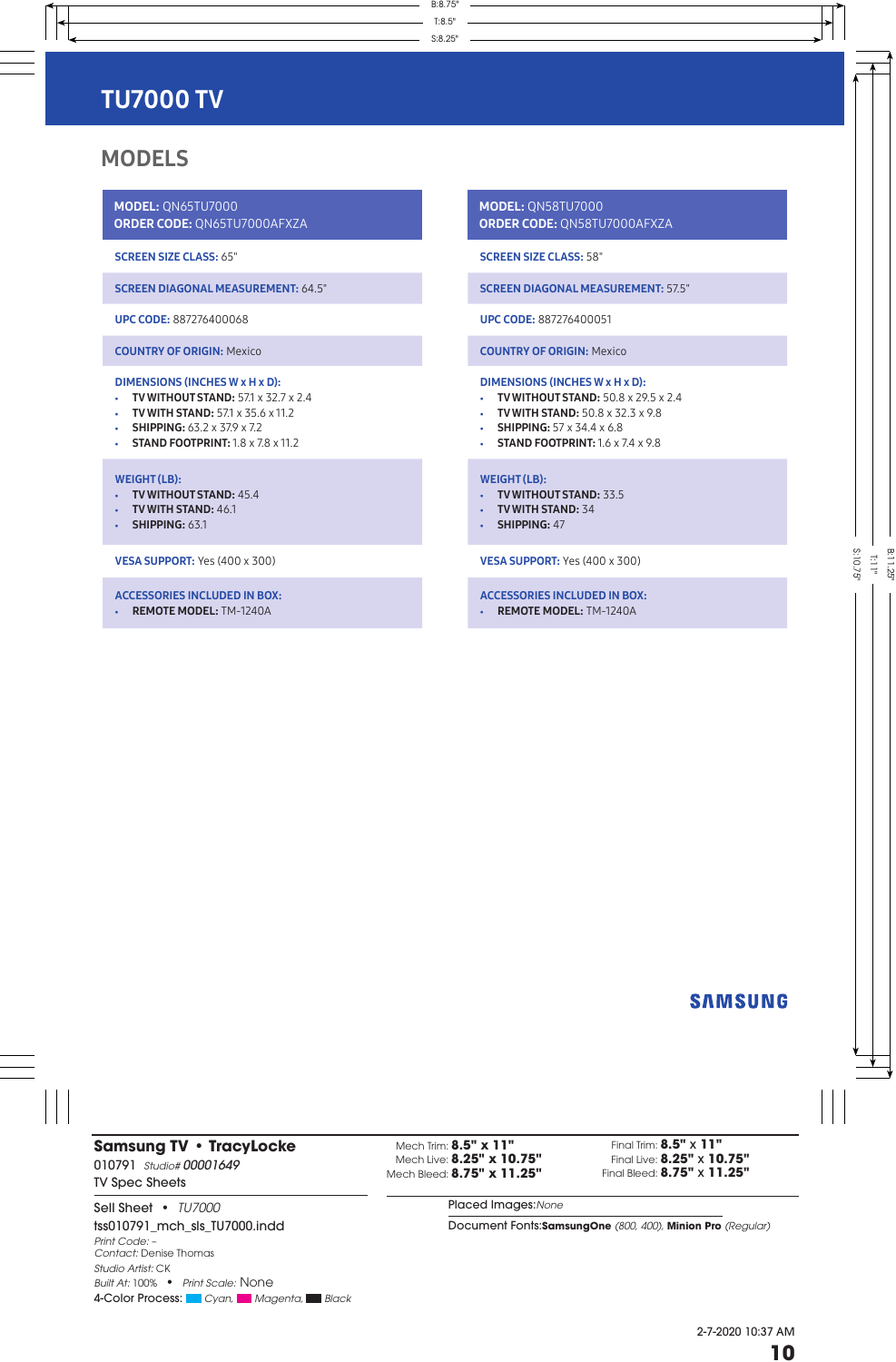# **MODELS**

MODEL: QN65TU7000 ORDER CODE: QN65TU7000AFXZA

SCREEN SIZE CLASS: 65"

SCREEN DIAGONAL MEASUREMENT: 64.5"

UPC CODE: 887276400068

COUNTRY OF ORIGIN: Mexico

## DIMENSIONS (INCHES W x H x D):

- **TV WITHOUT STAND:** 57.1 x 32.7 x 2.4
- TV WITH STAND: 57.1 x 35.6 x 11.2
- **SHIPPING:** 63.2 x 37.9 x 7.2
- STAND FOOTPRINT:  $1.8 \times 7.8 \times 11.2$

#### WEIGHT (LB):

- TV WITHOUT STAND: 45.4
- TV WITH STAND: 46.1
- $\cdot$  SHIPPING: 63.1

VESA SUPPORT: Yes (400 x 300)

### ACCESSORIES INCLUDED IN BOX:

• REMOTE MODEL: TM-1240A

MODEL: QN58TU7000 ORDER CODE: QN58TU7000AFXZA

SCREEN SIZE CLASS: 58"

SCREEN DIAGONAL MEASUREMENT: 57.5"

UPC CODE: 887276400051

COUNTRY OF ORIGIN: Mexico

### DIMENSIONS (INCHES W x H x D):

- TV WITHOUT STAND: 50.8 x 29.5 x 2.4
- **TV WITH STAND:** 50.8 x 32.3 x 9.8
- SHIPPING:  $57 \times 34.4 \times 6.8$
- STAND FOOTPRINT:  $1.6 \times 7.4 \times 9.8$

### WEIGHT (LB):

- TV WITHOUT STAND: 33.5
- TV WITH STAND: 34
- SHIPPING: 47

VESA SUPPORT: Yes (400 x 300)

### ACCESSORIES INCLUDED IN BOX:

• REMOTE MODEL: TM-1240A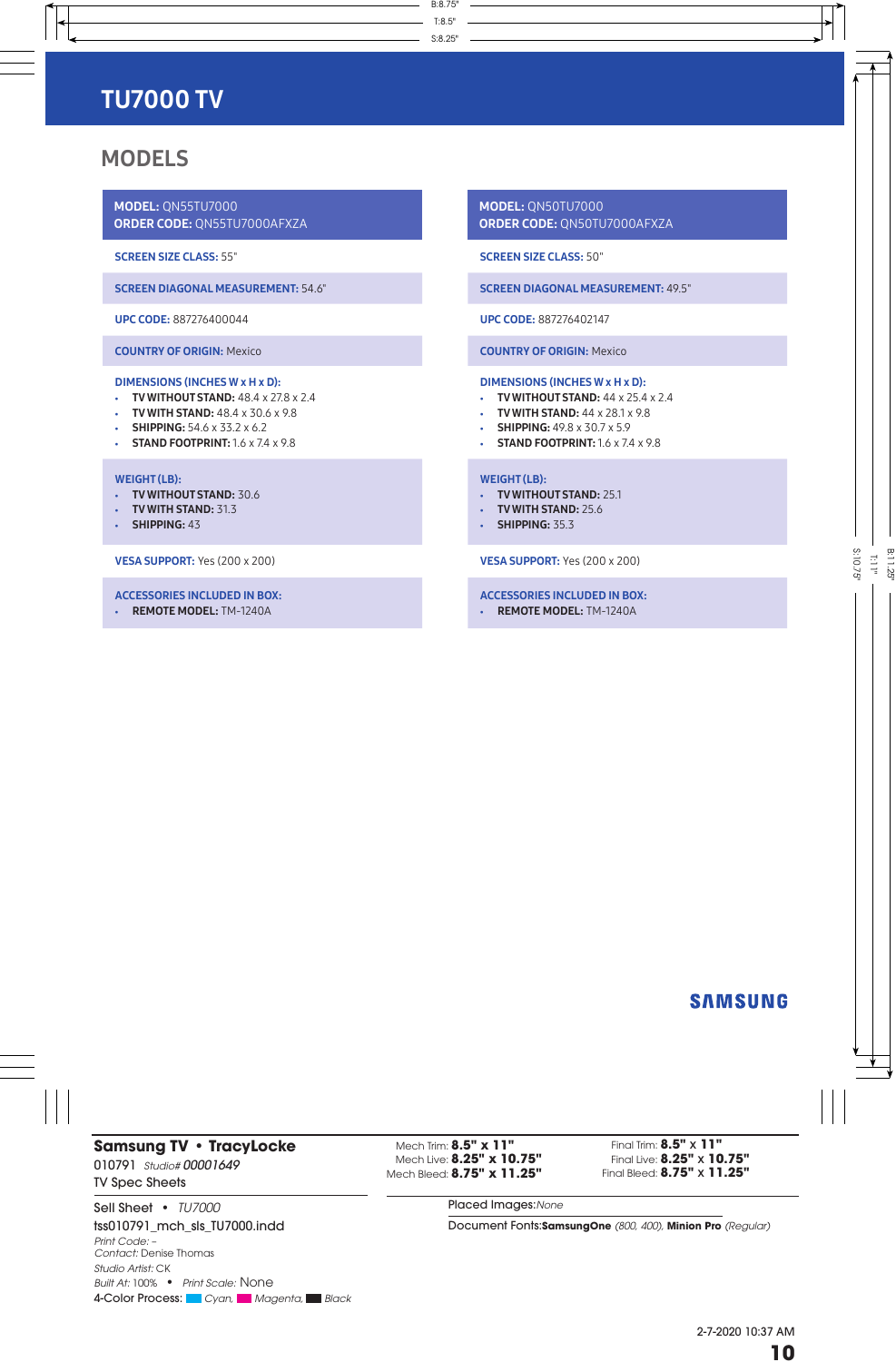# **MODELS**

MODEL: QN55TU7000 ORDER CODE: QN55TU7000AFXZA

SCREEN SIZE CLASS: 55"

SCREEN DIAGONAL MEASUREMENT: 54.6"

UPC CODE: 887276400044

COUNTRY OF ORIGIN: Mexico

### DIMENSIONS (INCHES W x H x D):

- TV WITHOUT STAND:  $48.4 \times 27.8 \times 2.4$
- $\cdot$  TV WITH STAND:  $48.4 \times 30.6 \times 9.8$
- SHIPPING:  $54.6 \times 33.2 \times 6.2$
- STAND FOOTPRINT:  $1.6 \times 7.4 \times 9.8$

#### WEIGHT (LB):

- TV WITHOUT STAND: 30.6
- TV WITH STAND: 31.3
- SHIPPING: 43

VESA SUPPORT: Yes (200 x 200)

#### ACCESSORIES INCLUDED IN BOX:

• REMOTE MODEL: TM-1240A

MODEL: QN50TU7000 ORDER CODE: QN50TU7000AFXZA

SCREEN SIZE CLASS: 50"

SCREEN DIAGONAL MEASUREMENT: 49.5"

UPC CODE: 887276402147

COUNTRY OF ORIGIN: Mexico

### DIMENSIONS (INCHES W x H x D):

- TV WITHOUT STAND:  $44 \times 25.4 \times 2.4$
- TV WITH STAND:  $44 \times 28.1 \times 9.8$
- SHIPPING: 49.8 x 30.7 x 5.9
- STAND FOOTPRINT:  $1.6 \times 7.4 \times 9.8$

### WEIGHT (LB):

- TV WITHOUT STAND: 25.1
- TV WITH STAND: 25.6
- **SHIPPING: 35.3**

VESA SUPPORT: Yes (200 x 200)

### ACCESSORIES INCLUDED IN BOX:

• REMOTE MODEL: TM-1240A